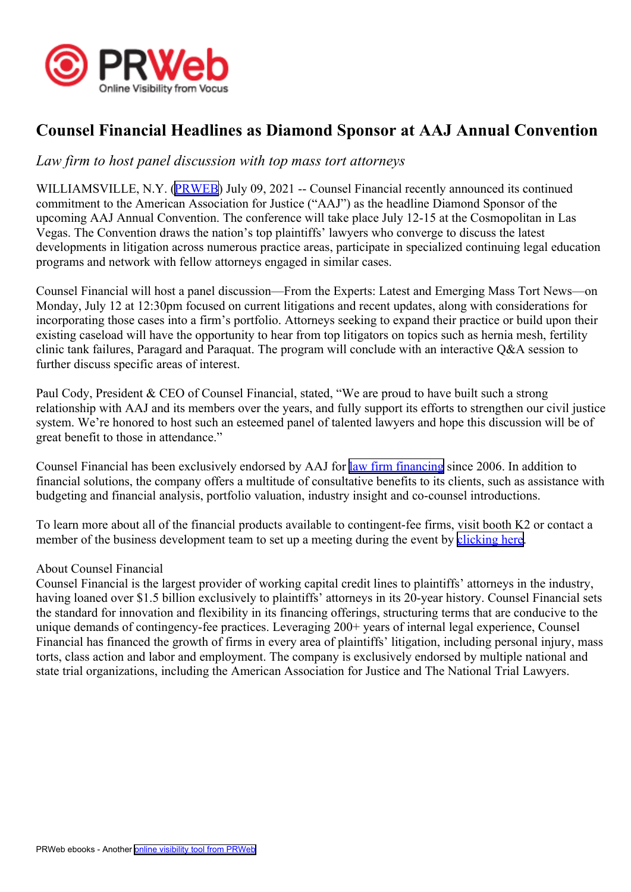

## **Counsel Financial Headlines as Diamond Sponsor at AAJ Annual Convention**

## *Law firm to host panel discussion with top mass tort attorneys*

WILLIAMSVILLE, N.Y. ([PRWEB](http://www.prweb.com)) July 09, 2021 -- Counsel Financial recently announced its continued commitment to the American Association for Justice ("AAJ") as the headline Diamond Sponsor of the upcoming AAJ Annual Convention. The conference will take place July 12-15 at the Cosmopolitan in Las Vegas. The Convention draws the nation's top plaintiffs' lawyers who converge to discuss the latest developments in litigation across numerous practice areas, participate in specialized continuing legal education programs and network with fellow attorneys engaged in similar cases.

Counsel Financial will host <sup>a</sup> panel discussion—From the Experts: Latest and Emerging Mass Tort News—on Monday, July 12 at 12:30pm focused on current litigations and recent updates, along with considerations for incorporating those cases into <sup>a</sup> firm's portfolio. Attorneys seeking to expand their practice or build upon their existing caseload will have the opportunity to hear from top litigators on topics such as hernia mesh, fertility clinic tank failures, Paragard and Paraquat. The program will conclude with an interactive Q&A session to further discuss specific areas of interest.

Paul Cody, President & CEO of Counsel Financial, stated, "We are proud to have built such <sup>a</sup> strong relationship with AAJ and its members over the years, and fully suppor<sup>t</sup> its efforts to strengthen our civil justice system. We're honored to host such an esteemed panel of talented lawyers and hope this discussion will be of grea<sup>t</sup> benefit to those in attendance."

Counsel Financial has been exclusively endorsed by AAJ for law firm [financing](https://info.counselfinancial.com/aaj-contact?utm_campaign=AAJ&utm_source=2021) since 2006. In addition to financial solutions, the company offers <sup>a</sup> multitude of consultative benefits to its clients, such as assistance with budgeting and financial analysis, portfolio valuation, industry insight and co-counsel introductions.

To learn more about all of the financial products available to contingent-fee firms, visit booth K2 or contact <sup>a</sup> member of the business development team to set up a meeting during the event by [clicking](https://info.counselfinancial.com/aaj-contact?utm_campaign=AAJ&utm_source=2021) here.

## About Counsel Financial

Counsel Financial is the largest provider of working capital credit lines to plaintiffs' attorneys in the industry, having loaned over \$1.5 billion exclusively to plaintiffs' attorneys in its 20-year history. Counsel Financial sets the standard for innovation and flexibility in its financing offerings, structuring terms that are conducive to the unique demands of contingency-fee practices. Leveraging 200+ years of internal legal experience, Counsel Financial has financed the growth of firms in every area of plaintiffs' litigation, including personal injury, mass torts, class action and labor and employment. The company is exclusively endorsed by multiple national and state trial organizations, including the American Association for Justice and The National Trial Lawyers.